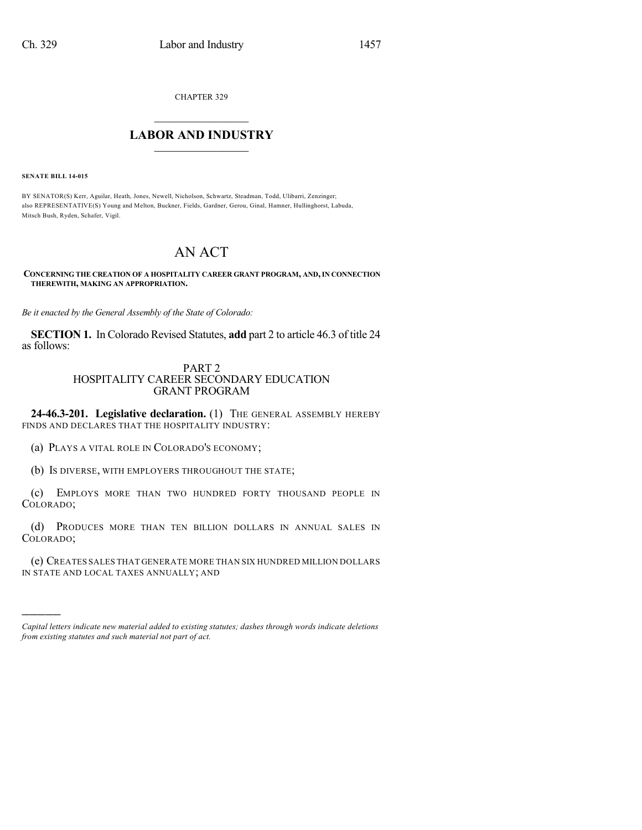CHAPTER 329

## $\mathcal{L}_\text{max}$  . The set of the set of the set of the set of the set of the set of the set of the set of the set of the set of the set of the set of the set of the set of the set of the set of the set of the set of the set **LABOR AND INDUSTRY**  $\frac{1}{\sqrt{2}}$  ,  $\frac{1}{\sqrt{2}}$  ,  $\frac{1}{\sqrt{2}}$  ,  $\frac{1}{\sqrt{2}}$  ,  $\frac{1}{\sqrt{2}}$  ,  $\frac{1}{\sqrt{2}}$

**SENATE BILL 14-015**

)))))

BY SENATOR(S) Kerr, Aguilar, Heath, Jones, Newell, Nicholson, Schwartz, Steadman, Todd, Ulibarri, Zenzinger; also REPRESENTATIVE(S) Young and Melton, Buckner, Fields, Gardner, Gerou, Ginal, Hamner, Hullinghorst, Labuda, Mitsch Bush, Ryden, Schafer, Vigil.

## AN ACT

**CONCERNING THE CREATION OF A HOSPITALITY CAREER GRANT PROGRAM, AND,IN CONNECTION THEREWITH, MAKING AN APPROPRIATION.**

*Be it enacted by the General Assembly of the State of Colorado:*

**SECTION 1.** In Colorado Revised Statutes, **add** part 2 to article 46.3 of title 24 as follows:

## PART 2 HOSPITALITY CAREER SECONDARY EDUCATION GRANT PROGRAM

**24-46.3-201. Legislative declaration.** (1) THE GENERAL ASSEMBLY HEREBY FINDS AND DECLARES THAT THE HOSPITALITY INDUSTRY:

(a) PLAYS A VITAL ROLE IN COLORADO'S ECONOMY;

(b) IS DIVERSE, WITH EMPLOYERS THROUGHOUT THE STATE;

(c) EMPLOYS MORE THAN TWO HUNDRED FORTY THOUSAND PEOPLE IN COLORADO;

(d) PRODUCES MORE THAN TEN BILLION DOLLARS IN ANNUAL SALES IN COLORADO;

(e) CREATES SALES THAT GENERATE MORE THAN SIX HUNDRED MILLION DOLLARS IN STATE AND LOCAL TAXES ANNUALLY; AND

*Capital letters indicate new material added to existing statutes; dashes through words indicate deletions from existing statutes and such material not part of act.*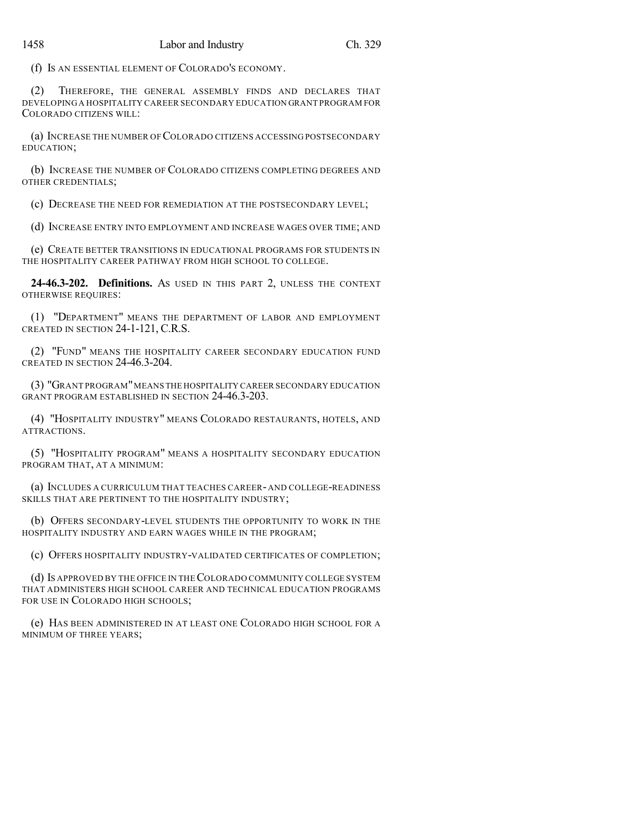(f) IS AN ESSENTIAL ELEMENT OF COLORADO'S ECONOMY.

(2) THEREFORE, THE GENERAL ASSEMBLY FINDS AND DECLARES THAT DEVELOPING A HOSPITALITY CAREER SECONDARY EDUCATION GRANT PROGRAM FOR COLORADO CITIZENS WILL:

(a) INCREASE THE NUMBER OF COLORADO CITIZENS ACCESSING POSTSECONDARY EDUCATION;

(b) INCREASE THE NUMBER OF COLORADO CITIZENS COMPLETING DEGREES AND OTHER CREDENTIALS;

(c) DECREASE THE NEED FOR REMEDIATION AT THE POSTSECONDARY LEVEL;

(d) INCREASE ENTRY INTO EMPLOYMENT AND INCREASE WAGES OVER TIME; AND

(e) CREATE BETTER TRANSITIONS IN EDUCATIONAL PROGRAMS FOR STUDENTS IN THE HOSPITALITY CAREER PATHWAY FROM HIGH SCHOOL TO COLLEGE.

**24-46.3-202. Definitions.** AS USED IN THIS PART 2, UNLESS THE CONTEXT OTHERWISE REQUIRES:

(1) "DEPARTMENT" MEANS THE DEPARTMENT OF LABOR AND EMPLOYMENT CREATED IN SECTION 24-1-121, C.R.S.

(2) "FUND" MEANS THE HOSPITALITY CAREER SECONDARY EDUCATION FUND CREATED IN SECTION 24-46.3-204.

(3) "GRANT PROGRAM"MEANS THE HOSPITALITY CAREER SECONDARY EDUCATION GRANT PROGRAM ESTABLISHED IN SECTION 24-46.3-203.

(4) "HOSPITALITY INDUSTRY" MEANS COLORADO RESTAURANTS, HOTELS, AND ATTRACTIONS.

(5) "HOSPITALITY PROGRAM" MEANS A HOSPITALITY SECONDARY EDUCATION PROGRAM THAT, AT A MINIMUM:

(a) INCLUDES A CURRICULUM THAT TEACHES CAREER- AND COLLEGE-READINESS SKILLS THAT ARE PERTINENT TO THE HOSPITALITY INDUSTRY;

(b) OFFERS SECONDARY-LEVEL STUDENTS THE OPPORTUNITY TO WORK IN THE HOSPITALITY INDUSTRY AND EARN WAGES WHILE IN THE PROGRAM;

(c) OFFERS HOSPITALITY INDUSTRY-VALIDATED CERTIFICATES OF COMPLETION;

(d) IS APPROVED BY THE OFFICE IN THECOLORADO COMMUNITY COLLEGE SYSTEM THAT ADMINISTERS HIGH SCHOOL CAREER AND TECHNICAL EDUCATION PROGRAMS FOR USE IN COLORADO HIGH SCHOOLS;

(e) HAS BEEN ADMINISTERED IN AT LEAST ONE COLORADO HIGH SCHOOL FOR A MINIMUM OF THREE YEARS;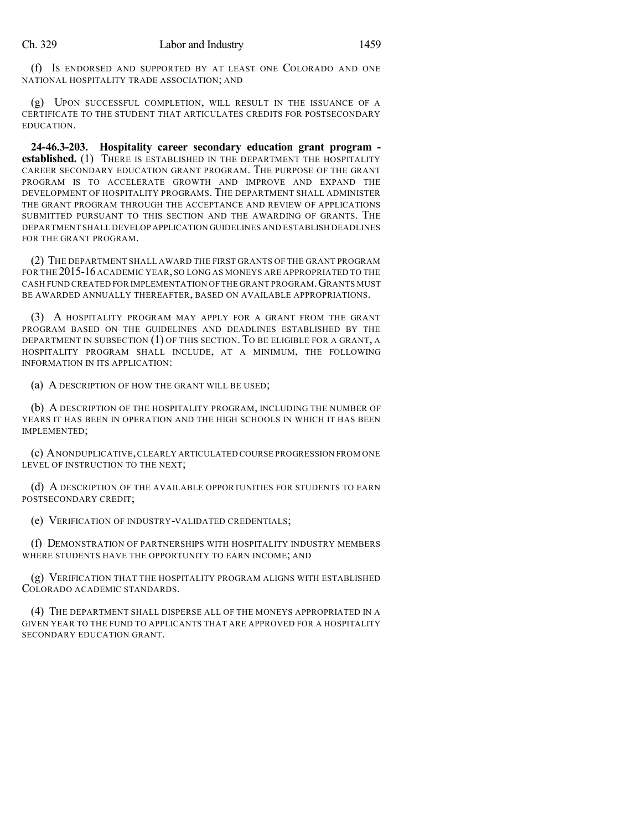(f) IS ENDORSED AND SUPPORTED BY AT LEAST ONE COLORADO AND ONE NATIONAL HOSPITALITY TRADE ASSOCIATION; AND

(g) UPON SUCCESSFUL COMPLETION, WILL RESULT IN THE ISSUANCE OF A CERTIFICATE TO THE STUDENT THAT ARTICULATES CREDITS FOR POSTSECONDARY EDUCATION.

**24-46.3-203. Hospitality career secondary education grant program established.** (1) THERE IS ESTABLISHED IN THE DEPARTMENT THE HOSPITALITY CAREER SECONDARY EDUCATION GRANT PROGRAM. THE PURPOSE OF THE GRANT PROGRAM IS TO ACCELERATE GROWTH AND IMPROVE AND EXPAND THE DEVELOPMENT OF HOSPITALITY PROGRAMS. THE DEPARTMENT SHALL ADMINISTER THE GRANT PROGRAM THROUGH THE ACCEPTANCE AND REVIEW OF APPLICATIONS SUBMITTED PURSUANT TO THIS SECTION AND THE AWARDING OF GRANTS. THE DEPARTMENT SHALL DEVELOP APPLICATION GUIDELINES AND ESTABLISH DEADLINES FOR THE GRANT PROGRAM.

(2) THE DEPARTMENT SHALL AWARD THE FIRST GRANTS OF THE GRANT PROGRAM FOR THE 2015-16 ACADEMIC YEAR, SO LONG AS MONEYS ARE APPROPRIATED TO THE CASH FUND CREATED FOR IMPLEMENTATION OF THE GRANT PROGRAM.GRANTS MUST BE AWARDED ANNUALLY THEREAFTER, BASED ON AVAILABLE APPROPRIATIONS.

(3) A HOSPITALITY PROGRAM MAY APPLY FOR A GRANT FROM THE GRANT PROGRAM BASED ON THE GUIDELINES AND DEADLINES ESTABLISHED BY THE DEPARTMENT IN SUBSECTION (1) OF THIS SECTION. TO BE ELIGIBLE FOR A GRANT, A HOSPITALITY PROGRAM SHALL INCLUDE, AT A MINIMUM, THE FOLLOWING INFORMATION IN ITS APPLICATION:

(a) A DESCRIPTION OF HOW THE GRANT WILL BE USED;

(b) A DESCRIPTION OF THE HOSPITALITY PROGRAM, INCLUDING THE NUMBER OF YEARS IT HAS BEEN IN OPERATION AND THE HIGH SCHOOLS IN WHICH IT HAS BEEN IMPLEMENTED;

(c) ANONDUPLICATIVE,CLEARLY ARTICULATED COURSE PROGRESSION FROM ONE LEVEL OF INSTRUCTION TO THE NEXT;

(d) A DESCRIPTION OF THE AVAILABLE OPPORTUNITIES FOR STUDENTS TO EARN POSTSECONDARY CREDIT;

(e) VERIFICATION OF INDUSTRY-VALIDATED CREDENTIALS;

(f) DEMONSTRATION OF PARTNERSHIPS WITH HOSPITALITY INDUSTRY MEMBERS WHERE STUDENTS HAVE THE OPPORTUNITY TO EARN INCOME; AND

(g) VERIFICATION THAT THE HOSPITALITY PROGRAM ALIGNS WITH ESTABLISHED COLORADO ACADEMIC STANDARDS.

(4) THE DEPARTMENT SHALL DISPERSE ALL OF THE MONEYS APPROPRIATED IN A GIVEN YEAR TO THE FUND TO APPLICANTS THAT ARE APPROVED FOR A HOSPITALITY SECONDARY EDUCATION GRANT.